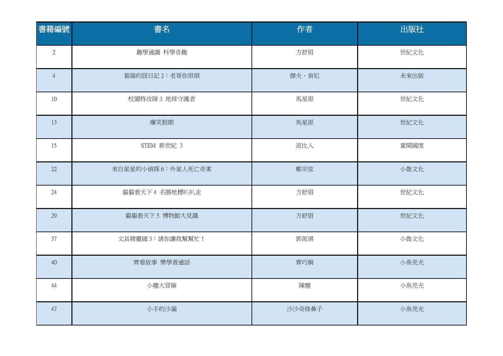| 書籍編號           | 書名                | 作者     | 出版社  |
|----------------|-------------------|--------|------|
| $\overline{2}$ | 趣學通識 科學奇趣         | 方舒眉    | 世紀文化 |
| $\overline{4}$ | 葛瑞的囧日記2:老哥你很煩     | 傑夫·肯尼  | 未來出版 |
| 10             | 校園特攻隊3 地球守護者      | 馬星原    | 世紀文化 |
| 13             | 爆笑假期              | 馬星原    | 世紀文化 |
| 15             | STEM 新世紀 3        | 波比人    | 童閱國度 |
| 22             | 來自星星的小偵探6:外星人死亡奇案 | 鄭宗弦    | 小魯文化 |
| 24             | 貓貓看天下 4 名勝地標叭叭走   | 方舒眉    | 世紀文化 |
| 29             | 貓貓看天下5 博物館大見識     | 方舒眉    | 世紀文化 |
| 37             | 文具精靈國 3:請你讓我幫幫忙!  | 郭恆祺    | 小魯文化 |
| 40             | 齊看故事 樂學普通話        | 齊巧娟    | 小魚亮光 |
| 44             | 小塵大冒險             | 陳塵     | 小魚亮光 |
| 47             | 小手的沙漏             | 沙沙奇綠鼻子 | 小魚亮光 |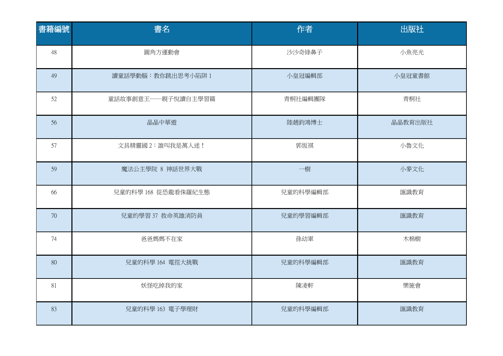| 書籍編號 | 書名                  | 作者       | 出版社     |
|------|---------------------|----------|---------|
| 48   | 圓角方運動會              | 沙沙奇綠鼻子   | 小魚亮光    |
| 49   | 讀童話學動腦:教你跳出思考小陷阱 1  | 小皇冠編輯部   | 小皇冠童書館  |
| 52   | 童話故事創意王––親子悅讀自主學習篇  | 青桐社編輯團隊  | 青桐社     |
| 56   | 晶晶中華遊               | 陸趙鈞鴻博士   | 晶晶教育出版社 |
| 57   | 文具精靈國 2: 誰叫我是萬人迷!   | 郭恆祺      | 小魯文化    |
| 59   | 魔法公主學院 8 神話世界大戰     | 一樹       | 小麥文化    |
| 66   | 兒童的科學 168 從恐龍看侏羅紀生態 | 兒童的科學編輯部 | 匯識教育    |
| 70   | 兒童的學習 37 救命英雄消防員    | 兒童的學習編輯部 | 匯識教育    |
| 74   | 爸爸媽媽不在家             | 孫幼軍      | 木棉樹     |
| 80   | 兒童的科學 164 電徑大挑戰     | 兒童的科學編輯部 | 匯識教育    |
| 81   | 妖怪吃掉我的家             | 陳凌軒      | 樂施會     |
| 83   | 兒童的科學 163 電子學理財     | 兒童的科學編輯部 | 匯識教育    |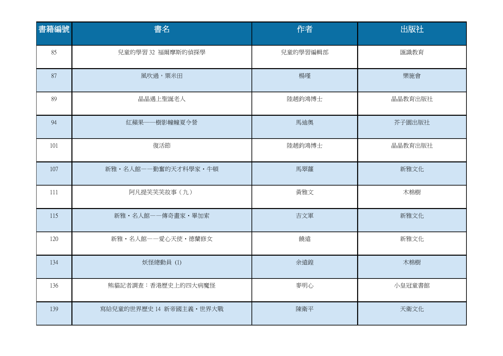| 書籍編號 | 書名                      | 作者       | 出版社     |
|------|-------------------------|----------|---------|
| 85   | 兒童的學習 32 福爾摩斯的偵探學       | 兒童的學習編輯部 | 匯識教育    |
| 87   | 風吹過, 粟米田                | 楊瑾       | 樂施會     |
| 89   | 晶晶遇上聖誕老人                | 陸趙鈞鴻博士   | 晶晶教育出版社 |
| 94   | 紅蘋果——樹影幢幢夏令營            | 馬迪奧      | 芥子園出版社  |
| 101  | 復活節                     | 陸趙鈞鴻博士   | 晶晶教育出版社 |
| 107  | 新雅·名人館--勤奮的天才科學家·牛頓     | 馬翠蘿      | 新雅文化    |
| 111  | 阿凡提笑笑笑故事 (九)            | 黃雅文      | 木棉樹     |
| 115  | 新雅・名人館ーー傳奇畫家・畢加索        | 吉文軍      | 新雅文化    |
| 120  | 新雅·名人館--愛心天使·德蘭修女       | 饒遠       | 新雅文化    |
| 134  | 妖怪總動員(1)                | 余遠鍠      | 木棉樹     |
| 136  | 熊貓記者調查:香港歷史上的四大病魔怪      | 麥明心      | 小皇冠童書館  |
| 139  | 寫給兒童的世界歷史 14 新帝國主義·世界大戰 | 陳衛平      | 天衛文化    |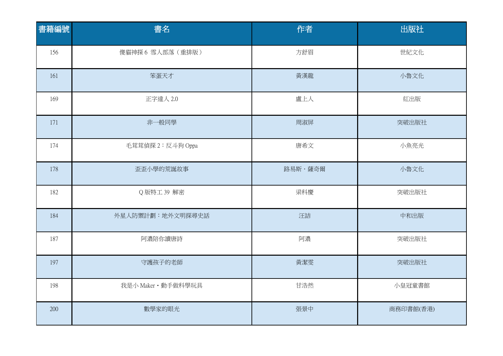| 書籍編號 | 書名                  | 作者      | 出版社       |
|------|---------------------|---------|-----------|
| 156  | 傻貓神探6 雪人部落(重排版)     | 方舒眉     | 世紀文化      |
| 161  | 笨蛋天才                | 黃漢龍     | 小魯文化      |
| 169  | 正字達人 2.0            | 盧上人     | 紅出版       |
| 171  | 非一般同學               | 周淑屏     | 突破出版社     |
| 174  | 毛茸茸偵探2:反斗狗 Oppa     | 唐希文     | 小魚亮光      |
| 178  | 歪歪小學的荒誕故事           | 路易斯·薩奇爾 | 小魯文化      |
| 182  | Q版特工 39 解密          | 梁科慶     | 突破出版社     |
| 184  | 外星人防禦計劃:地外文明探尋史話    | 汪詰      | 中和出版      |
| 187  | 阿濃陪你讀唐詩             | 阿濃      | 突破出版社     |
| 197  | 守護孩子的老師             | 黃潔雯     | 突破出版社     |
| 198  | 我是小 Maker · 動手做科學玩具 | 甘浩然     | 小皇冠童書館    |
| 200  | 數學家的眼光              | 張景中     | 商務印書館(香港) |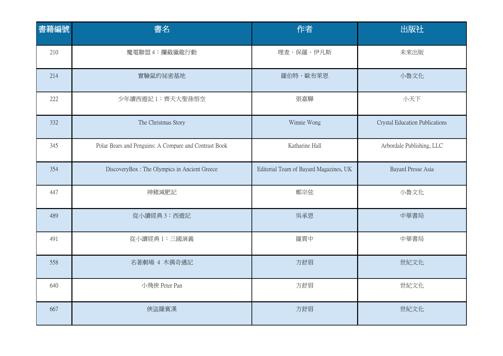| 書籍編號 | 書名                                                    | 作者                                     | 出版社                                   |
|------|-------------------------------------------------------|----------------------------------------|---------------------------------------|
| 210  | 魔電聯盟 4:攔截獵龍行動                                         | 理査・保羅・伊凡斯                              | 未來出版                                  |
| 214  | 實驗鼠的祕密基地                                              | 羅伯特·歐布萊恩                               | 小魯文化                                  |
| 222  | 少年讀西遊記1:齊天大聖孫悟空                                       | 張嘉驊                                    | 小天下                                   |
| 332  | The Christmas Story                                   | Winnie Wong                            | <b>Crystal Education Publications</b> |
| 345  | Polar Bears and Penguins: A Compare and Contrast Book | Katharine Hall                         | Arbordale Publishing, LLC             |
| 354  | DiscoveryBox: The Olympics in Ancient Greece          | Editorial Team of Bayard Magazines, UK | Bayard Presse Asia                    |
| 447  | 神豬減肥記                                                 | 鄭宗弦                                    | 小魯文化                                  |
| 489  | 從小讀經典 3:西遊記                                           | 吳承恩                                    | 中華書局                                  |
| 491  | 從小讀經典1:三國演義                                           | 羅貫中                                    | 中華書局                                  |
| 558  | 名著劇場 4 木偶奇遇記                                          | 方舒眉                                    | 世紀文化                                  |
| 640  | 小飛俠 Peter Pan                                         | 方舒眉                                    | 世紀文化                                  |
| 667  | 俠盜羅賓漢                                                 | 方舒眉                                    | 世紀文化                                  |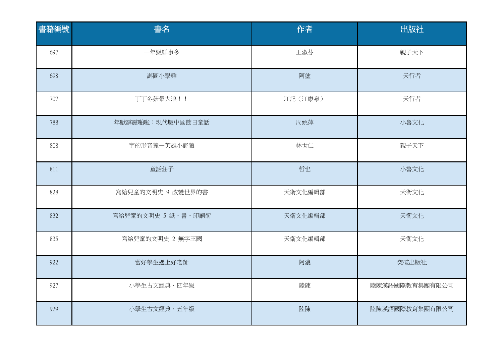| 書籍編號 | 書名                 | 作者       | 出版社            |
|------|--------------------|----------|----------------|
| 697  | 一年級鮮事多             | 王淑芬      | 親子天下           |
| 698  | 謎圖小學雞              | 阿塗       | 天行者            |
| 707  | 丁丁冬菇暈大浪!!          | 江記 (江康泉) | 天行者            |
| 788  | 年獸霹靂啪啦:現代版中國節日童話   | 周姚萍      | 小魯文化           |
| 808  | 字的形音義一英雄小野狼        | 林世仁      | 親子天下           |
| 811  | 童話莊子               | 哲也       | 小魯文化           |
| 828  | 寫給兒童的文明史 9 改變世界的書  | 天衛文化編輯部  | 天衛文化           |
| 832  | 寫給兒童的文明史 5 紙·書·印刷術 | 天衛文化編輯部  | 天衛文化           |
| 835  | 寫給兒童的文明史 2 無字王國    | 天衛文化編輯部  | 天衛文化           |
| 922  | 當好學生遇上好老師          | 阿濃       | 突破出版社          |
| 927  | 小學生古文經典·四年級        | 陸陳       | 陸陳漢語國際教育集團有限公司 |
| 929  | 小學生古文經典·五年級        | 陸陳       | 陸陳漢語國際教育集團有限公司 |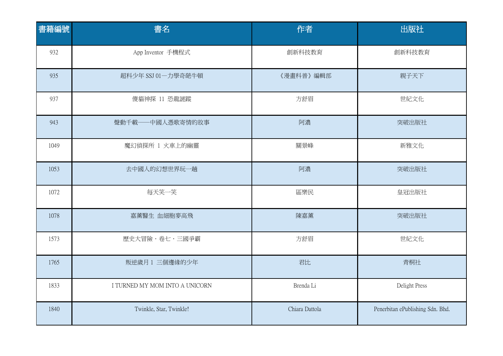| 書籍編號 | 書名                             | 作者             | 出版社                              |
|------|--------------------------------|----------------|----------------------------------|
| 932  | App Inventor 手機程式              | 創新科技教育         | 創新科技教育                           |
| 935  | 超科少年 SSJ 01一力學奇葩牛頓             | 《漫畫科普》編輯部      | 親子天下                             |
| 937  | 傻貓神探 11 恐龍謎蹤                   | 方舒眉            | 世紀文化                             |
| 943  | 聲動千載–<br>一中國人憑歌寄情的故事           | 阿濃             | 突破出版社                            |
| 1049 | 魔幻偵探所 1 火車上的幽靈                 | 關景峰            | 新雅文化                             |
| 1053 | 去中國人的幻想世界玩一趟                   | 阿濃             | 突破出版社                            |
| 1072 | 每天笑一笑                          | 區樂民            | 皇冠出版社                            |
| 1078 | 嘉薰醫生 血細胞麥高飛                    | 陳嘉薰            | 突破出版社                            |
| 1573 | 歴史大冒險・卷七・三國爭霸                  | 方舒眉            | 世紀文化                             |
| 1765 | 叛逆歲月1三個邊緣的少年                   | 君比             | 青桐社                              |
| 1833 | I TURNED MY MOM INTO A UNICORN | Brenda Li      | Delight Press                    |
| 1840 | Twinkle, Star, Twinkle!        | Chiara Dattola | Penerbitan ePublishing Sdn. Bhd. |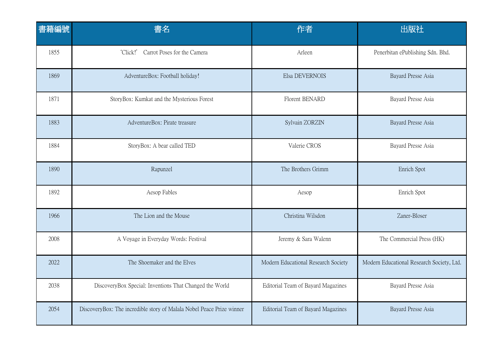| 書籍編號 | 書名                                                                    | 作者                                  | 出版社                                       |
|------|-----------------------------------------------------------------------|-------------------------------------|-------------------------------------------|
| 1855 | Carrot Poses for the Camera<br>'Click!'                               | Arleen                              | Penerbitan ePublishing Sdn. Bhd.          |
| 1869 | AdventureBox: Football holiday!                                       | Elsa DEVERNOIS                      | Bayard Presse Asia                        |
| 1871 | StoryBox: Kumkat and the Mysterious Forest                            | Florent BENARD                      | Bayard Presse Asia                        |
| 1883 | AdventureBox: Pirate treasure                                         | Sylvain ZORZIN                      | Bayard Presse Asia                        |
| 1884 | StoryBox: A bear called TED                                           | Valerie CROS                        | Bayard Presse Asia                        |
| 1890 | Rapunzel                                                              | The Brothers Grimm                  | Enrich Spot                               |
| 1892 | Aesop Fables                                                          | Aesop                               | Enrich Spot                               |
| 1966 | The Lion and the Mouse                                                | Christina Wilsdon                   | Zaner-Bloser                              |
| 2008 | A Voyage in Everyday Words: Festival                                  | Jeremy & Sara Walenn                | The Commercial Press (HK)                 |
| 2022 | The Shoemaker and the Elves                                           | Modern Educational Research Society | Modern Educational Research Society, Ltd. |
| 2038 | DiscoveryBox Special: Inventions That Changed the World               | Editorial Team of Bayard Magazines  | Bayard Presse Asia                        |
| 2054 | DiscoveryBox: The incredible story of Malala Nobel Peace Prize winner | Editorial Team of Bayard Magazines  | Bayard Presse Asia                        |